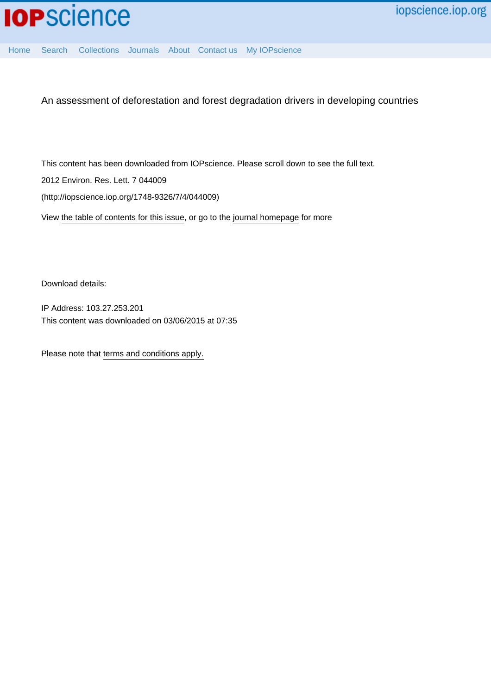

[Home](http://iopscience.iop.org/) [Search](http://iopscience.iop.org/search) [Collections](http://iopscience.iop.org/collections) [Journals](http://iopscience.iop.org/journals) [About](http://iopscience.iop.org/page/aboutioppublishing) [Contact us](http://iopscience.iop.org/contact) [My IOPscience](http://iopscience.iop.org/myiopscience)

An assessment of deforestation and forest degradation drivers in developing countries

This content has been downloaded from IOPscience. Please scroll down to see the full text. 2012 Environ. Res. Lett. 7 044009

(http://iopscience.iop.org/1748-9326/7/4/044009)

View [the table of contents for this issue](http://iopscience.iop.org/1748-9326/7/4), or go to the [journal homepage](http://iopscience.iop.org/1748-9326) for more

Download details:

IP Address: 103.27.253.201 This content was downloaded on 03/06/2015 at 07:35

Please note that [terms and conditions apply.](iopscience.iop.org/page/terms)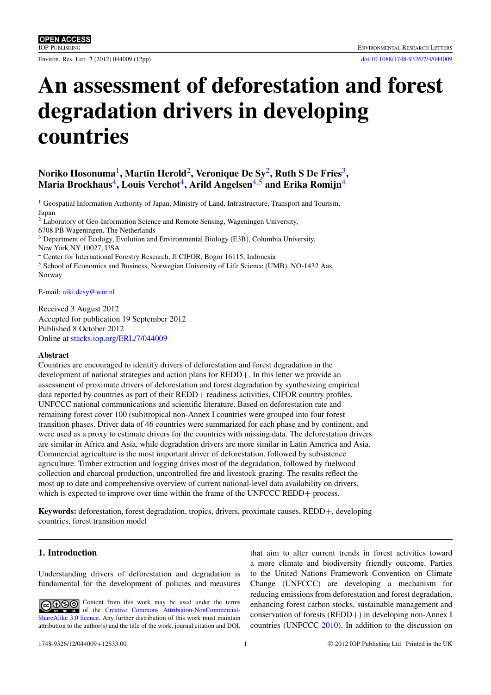Environ. Res. Lett. 7 (2012) 044009 (12pp) [doi:10.1088/1748-9326/7/4/044009](http://dx.doi.org/10.1088/1748-9326/7/4/044009)

# An assessment of deforestation and forest degradation drivers in developing countries

# Noriko Hosonuma $^1$  $^1$ , Martin Herold $^2$  $^2$ , Veronique De Sy $^2$ , Ruth S De Fries $^3,$  $^3,$  $^3,$ Maria Brockhaus $^4$  $^4$ , Louis Verchot $^4$ , Arild Angelsen $^{4,5}$  $^{4,5}$  $^{4,5}$  $^{4,5}$  and Erika Romijn $^4$

<span id="page-1-0"></span><sup>1</sup> Geospatial Information Authority of Japan, Ministry of Land, Infrastructure, Transport and Tourism, Japan

<span id="page-1-1"></span><sup>2</sup> Laboratory of Geo-Information Science and Remote Sensing, Wageningen University,

6708 PB Wageningen, The Netherlands

<span id="page-1-2"></span><sup>3</sup> Department of Ecology, Evolution and Environmental Biology (E3B), Columbia University, New York NY 10027, USA

<span id="page-1-3"></span><sup>4</sup> Center for International Forestry Research, Jl CIFOR, Bogor 16115, Indonesia

<span id="page-1-4"></span><sup>5</sup> School of Economics and Business, Norwegian University of Life Science (UMB), NO-1432 Aas, Norway

E-mail: [niki.desy@wur.nl](mailto:niki.desy@wur.nl)

Received 3 August 2012 Accepted for publication 19 September 2012 Published 8 October 2012 Online at [stacks.iop.org/ERL/7/044009](http://stacks.iop.org/ERL/7/044009)

# Abstract

Countries are encouraged to identify drivers of deforestation and forest degradation in the development of national strategies and action plans for REDD+. In this letter we provide an assessment of proximate drivers of deforestation and forest degradation by synthesizing empirical data reported by countries as part of their REDD+ readiness activities, CIFOR country profiles, UNFCCC national communications and scientific literature. Based on deforestation rate and remaining forest cover 100 (sub)tropical non-Annex I countries were grouped into four forest transition phases. Driver data of 46 countries were summarized for each phase and by continent, and were used as a proxy to estimate drivers for the countries with missing data. The deforestation drivers are similar in Africa and Asia, while degradation drivers are more similar in Latin America and Asia. Commercial agriculture is the most important driver of deforestation, followed by subsistence agriculture. Timber extraction and logging drives most of the degradation, followed by fuelwood collection and charcoal production, uncontrolled fire and livestock grazing. The results reflect the most up to date and comprehensive overview of current national-level data availability on drivers, which is expected to improve over time within the frame of the UNFCCC REDD+ process.

Keywords: deforestation, forest degradation, tropics, drivers, proximate causes, REDD+, developing countries, forest transition model

# 1. Introduction

Understanding drivers of deforestation and degradation is fundamental for the development of policies and measures

COOO Content from this work may be used under the terms sa of the [Creative Commons Attribution-NonCommercial-](http://creativecommons.org/licenses/by-nc-sa/3.0)[ShareAlike 3.0 licence.](http://creativecommons.org/licenses/by-nc-sa/3.0) Any further distribution of this work must maintain attribution to the author(s) and the title of the work, journal citation and DOI.

that aim to alter current trends in forest activities toward a more climate and biodiversity friendly outcome. Parties to the United Nations Framework Convention on Climate Change (UNFCCC) are developing a mechanism for reducing emissions from deforestation and forest degradation, enhancing forest carbon stocks, sustainable management and conservation of forests (REDD+) in developing non-Annex I countries (UNFCCC [2010\)](#page-12-0). In addition to the discussion on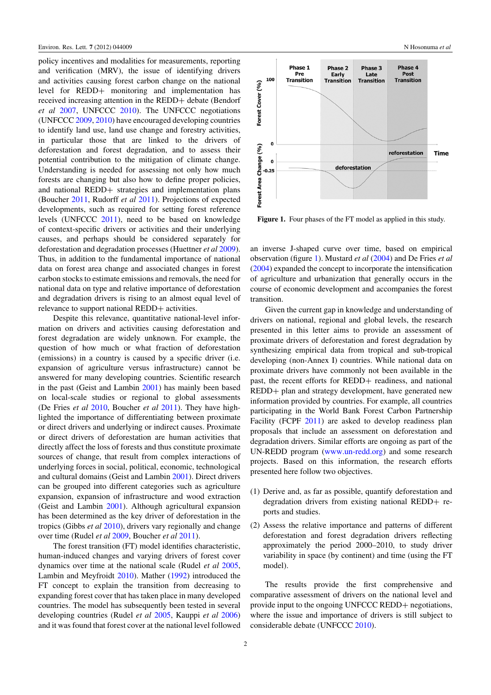policy incentives and modalities for measurements, reporting and verification (MRV), the issue of identifying drivers and activities causing forest carbon change on the national level for REDD+ monitoring and implementation has received increasing attention in the REDD+ debate (Bendorf *et al* [2007,](#page-11-0) UNFCCC [2010\)](#page-12-0). The UNFCCC negotiations (UNFCCC [2009,](#page-12-1) [2010\)](#page-12-0) have encouraged developing countries to identify land use, land use change and forestry activities, in particular those that are linked to the drivers of deforestation and forest degradation, and to assess their potential contribution to the mitigation of climate change. Understanding is needed for assessing not only how much forests are changing but also how to define proper policies, and national REDD+ strategies and implementation plans (Boucher [2011,](#page-11-1) Rudorff *et al* [2011\)](#page-12-2). Projections of expected developments, such as required for setting forest reference levels (UNFCCC [2011\)](#page-12-3), need to be based on knowledge of context-specific drivers or activities and their underlying causes, and perhaps should be considered separately for deforestation and degradation processes (Huettner *et al* [2009\)](#page-11-2). Thus, in addition to the fundamental importance of national data on forest area change and associated changes in forest carbon stocks to estimate emissions and removals, the need for national data on type and relative importance of deforestation and degradation drivers is rising to an almost equal level of relevance to support national REDD+ activities.

Despite this relevance, quantitative national-level information on drivers and activities causing deforestation and forest degradation are widely unknown. For example, the question of how much or what fraction of deforestation (emissions) in a country is caused by a specific driver (i.e. expansion of agriculture versus infrastructure) cannot be answered for many developing countries. Scientific research in the past (Geist and Lambin [2001\)](#page-11-3) has mainly been based on local-scale studies or regional to global assessments (De Fries *et al* [2010,](#page-11-4) Boucher *et al* [2011\)](#page-11-5). They have highlighted the importance of differentiating between proximate or direct drivers and underlying or indirect causes. Proximate or direct drivers of deforestation are human activities that directly affect the loss of forests and thus constitute proximate sources of change, that result from complex interactions of underlying forces in social, political, economic, technological and cultural domains (Geist and Lambin [2001\)](#page-11-3). Direct drivers can be grouped into different categories such as agriculture expansion, expansion of infrastructure and wood extraction (Geist and Lambin [2001\)](#page-11-3). Although agricultural expansion has been determined as the key driver of deforestation in the tropics (Gibbs *et al* [2010\)](#page-11-6), drivers vary regionally and change over time (Rudel *et al* [2009,](#page-12-4) Boucher *et al* [2011\)](#page-11-5).

The forest transition (FT) model identifies characteristic, human-induced changes and varying drivers of forest cover dynamics over time at the national scale (Rudel *et al* [2005,](#page-12-5) Lambin and Meyfroidt [2010\)](#page-11-7). Mather [\(1992\)](#page-11-8) introduced the FT concept to explain the transition from decreasing to expanding forest cover that has taken place in many developed countries. The model has subsequently been tested in several developing countries (Rudel *et al* [2005,](#page-12-5) Kauppi *et al* [2006\)](#page-11-9) and it was found that forest cover at the national level followed

<span id="page-2-0"></span>

Figure 1. Four phases of the FT model as applied in this study.

an inverse J-shaped curve over time, based on empirical observation (figure [1\)](#page-2-0). Mustard *et al* [\(2004\)](#page-11-10) and De Fries *et al* [\(2004\)](#page-11-11) expanded the concept to incorporate the intensification of agriculture and urbanization that generally occurs in the course of economic development and accompanies the forest transition.

Given the current gap in knowledge and understanding of drivers on national, regional and global levels, the research presented in this letter aims to provide an assessment of proximate drivers of deforestation and forest degradation by synthesizing empirical data from tropical and sub-tropical developing (non-Annex I) countries. While national data on proximate drivers have commonly not been available in the past, the recent efforts for REDD+ readiness, and national REDD+ plan and strategy development, have generated new information provided by countries. For example, all countries participating in the World Bank Forest Carbon Partnership Facility (FCPF [2011\)](#page-11-12) are asked to develop readiness plan proposals that include an assessment on deforestation and degradation drivers. Similar efforts are ongoing as part of the UN-REDD program [\(www.un-redd.org\)](http://www.un-redd.org) and some research projects. Based on this information, the research efforts presented here follow two objectives.

- (1) Derive and, as far as possible, quantify deforestation and degradation drivers from existing national REDD+ reports and studies.
- (2) Assess the relative importance and patterns of different deforestation and forest degradation drivers reflecting approximately the period 2000–2010, to study driver variability in space (by continent) and time (using the FT model).

The results provide the first comprehensive and comparative assessment of drivers on the national level and provide input to the ongoing UNFCCC REDD+ negotiations, where the issue and importance of drivers is still subject to considerable debate (UNFCCC [2010\)](#page-12-0).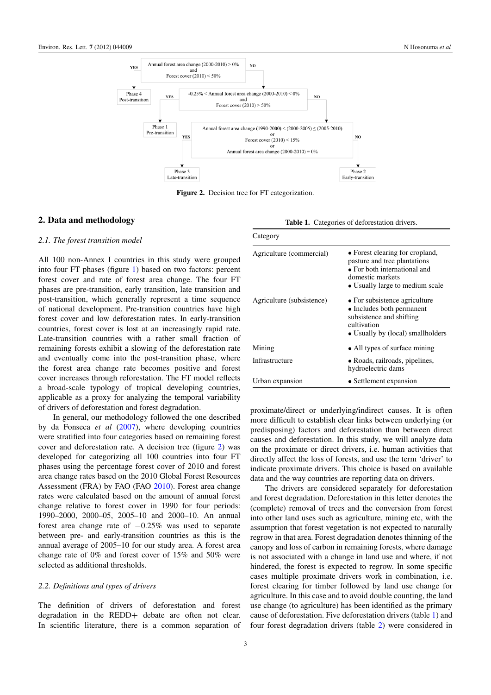<span id="page-3-0"></span>

Figure 2. Decision tree for FT categorization.

# 2. Data and methodology

#### *2.1. The forest transition model*

All 100 non-Annex I countries in this study were grouped into four FT phases (figure [1\)](#page-2-0) based on two factors: percent forest cover and rate of forest area change. The four FT phases are pre-transition, early transition, late transition and post-transition, which generally represent a time sequence of national development. Pre-transition countries have high forest cover and low deforestation rates. In early-transition countries, forest cover is lost at an increasingly rapid rate. Late-transition countries with a rather small fraction of remaining forests exhibit a slowing of the deforestation rate and eventually come into the post-transition phase, where the forest area change rate becomes positive and forest cover increases through reforestation. The FT model reflects a broad-scale typology of tropical developing countries, applicable as a proxy for analyzing the temporal variability of drivers of deforestation and forest degradation.

In general, our methodology followed the one described by da Fonseca *et al* [\(2007\)](#page-11-13), where developing countries were stratified into four categories based on remaining forest cover and deforestation rate. A decision tree (figure [2\)](#page-3-0) was developed for categorizing all 100 countries into four FT phases using the percentage forest cover of 2010 and forest area change rates based on the 2010 Global Forest Resources Assessment (FRA) by FAO (FAO [2010\)](#page-11-14). Forest area change rates were calculated based on the amount of annual forest change relative to forest cover in 1990 for four periods: 1990–2000, 2000–05, 2005–10 and 2000–10. An annual forest area change rate of −0.25% was used to separate between pre- and early-transition countries as this is the annual average of 2005–10 for our study area. A forest area change rate of 0% and forest cover of 15% and 50% were selected as additional thresholds.

#### *2.2. Definitions and types of drivers*

The definition of drivers of deforestation and forest degradation in the REDD+ debate are often not clear. In scientific literature, there is a common separation of

| <b>Table 1.</b> Categories of deforestation drivers. |  |  |
|------------------------------------------------------|--|--|
|                                                      |  |  |

<span id="page-3-1"></span>

| Category                  |                                                                                                                                                        |
|---------------------------|--------------------------------------------------------------------------------------------------------------------------------------------------------|
| Agriculture (commercial)  | • Forest clearing for cropland,<br>pasture and tree plantations<br>• For both international and<br>domestic markets<br>• Usually large to medium scale |
| Agriculture (subsistence) | • For subsistence agriculture<br>• Includes both permanent<br>subsistence and shifting<br>cultivation<br>• Usually by (local) smallholders             |
| Mining                    | • All types of surface mining                                                                                                                          |
| Infrastructure            | • Roads, railroads, pipelines,<br>hydroelectric dams                                                                                                   |
| Urban expansion           | • Settlement expansion                                                                                                                                 |

proximate/direct or underlying/indirect causes. It is often more difficult to establish clear links between underlying (or predisposing) factors and deforestation than between direct causes and deforestation. In this study, we will analyze data on the proximate or direct drivers, i.e. human activities that directly affect the loss of forests, and use the term 'driver' to indicate proximate drivers. This choice is based on available data and the way countries are reporting data on drivers.

The drivers are considered separately for deforestation and forest degradation. Deforestation in this letter denotes the (complete) removal of trees and the conversion from forest into other land uses such as agriculture, mining etc, with the assumption that forest vegetation is not expected to naturally regrow in that area. Forest degradation denotes thinning of the canopy and loss of carbon in remaining forests, where damage is not associated with a change in land use and where, if not hindered, the forest is expected to regrow. In some specific cases multiple proximate drivers work in combination, i.e. forest clearing for timber followed by land use change for agriculture. In this case and to avoid double counting, the land use change (to agriculture) has been identified as the primary cause of deforestation. Five deforestation drivers (table [1\)](#page-3-1) and four forest degradation drivers (table [2\)](#page-4-0) were considered in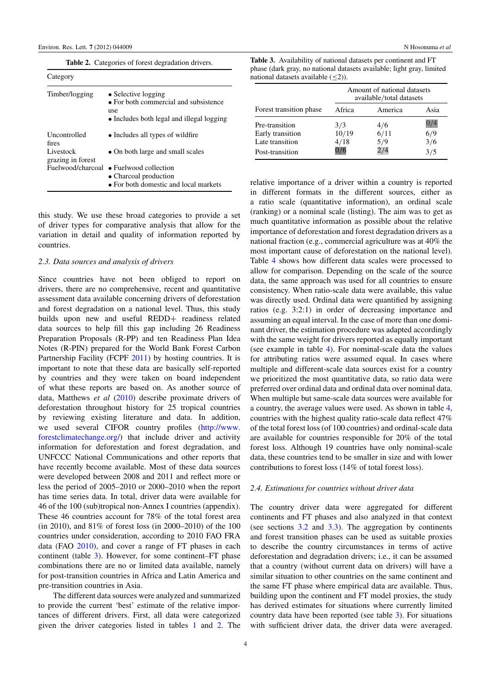<span id="page-4-0"></span>

| Category                       |                                                                                                                          |
|--------------------------------|--------------------------------------------------------------------------------------------------------------------------|
| Timber/logging                 | $\bullet$ Selective logging<br>• For both commercial and subsistence<br>use<br>• Includes both legal and illegal logging |
| <b>Uncontrolled</b><br>fires   | • Includes all types of wildfire                                                                                         |
| Livestock<br>grazing in forest | • On both large and small scales                                                                                         |
| Fuelwood/charcoal              | • Fuelwood collection<br>• Charcoal production<br>• For both domestic and local markets                                  |

Table 2. Categories of forest degradation drivers.

this study. We use these broad categories to provide a set of driver types for comparative analysis that allow for the variation in detail and quality of information reported by countries.

# *2.3. Data sources and analysis of drivers*

Since countries have not been obliged to report on drivers, there are no comprehensive, recent and quantitative assessment data available concerning drivers of deforestation and forest degradation on a national level. Thus, this study builds upon new and useful REDD+ readiness related data sources to help fill this gap including 26 Readiness Preparation Proposals (R-PP) and ten Readiness Plan Idea Notes (R-PIN) prepared for the World Bank Forest Carbon Partnership Facility (FCPF [2011\)](#page-11-12) by hosting countries. It is important to note that these data are basically self-reported by countries and they were taken on board independent of what these reports are based on. As another source of data, Matthews *et al* [\(2010\)](#page-11-15) describe proximate drivers of deforestation throughout history for 25 tropical countries by reviewing existing literature and data. In addition, we used several CIFOR country profiles [\(http://www.](http://www.forestclimatechange.org/) [forestclimatechange.org/\)](http://www.forestclimatechange.org/) that include driver and activity information for deforestation and forest degradation, and UNFCCC National Communications and other reports that have recently become available. Most of these data sources were developed between 2008 and 2011 and reflect more or less the period of 2005–2010 or 2000–2010 when the report has time series data. In total, driver data were available for 46 of the 100 (sub)tropical non-Annex I countries (appendix). These 46 countries account for 78% of the total forest area (in 2010), and 81% of forest loss (in 2000–2010) of the 100 countries under consideration, according to 2010 FAO FRA data (FAO [2010\)](#page-11-14), and cover a range of FT phases in each continent (table [3\)](#page-4-1). However, for some continent–FT phase combinations there are no or limited data available, namely for post-transition countries in Africa and Latin America and pre-transition countries in Asia.

The different data sources were analyzed and summarized to provide the current 'best' estimate of the relative importances of different drivers. First, all data were categorized given the driver categories listed in tables [1](#page-3-1) and [2.](#page-4-0) The

<span id="page-4-1"></span>Table 3. Availability of national datasets per continent and FT phase (dark gray, no national datasets available; light gray, limited national datasets available  $(<2$ )).

|                         | Amount of national datasets<br>available/total datasets |         |      |  |
|-------------------------|---------------------------------------------------------|---------|------|--|
| Forest transition phase | Africa                                                  | America | Asia |  |
| Pre-transition          | 3/3                                                     | 4/6     |      |  |
| Early transition        | 10/19                                                   | 6/11    | 6/9  |  |
| Late transition         | 4/18                                                    | 5/9     | 3/6  |  |
| Post-transition         |                                                         |         | 3/5  |  |

relative importance of a driver within a country is reported in different formats in the different sources, either as a ratio scale (quantitative information), an ordinal scale (ranking) or a nominal scale (listing). The aim was to get as much quantitative information as possible about the relative importance of deforestation and forest degradation drivers as a national fraction (e.g., commercial agriculture was at 40% the most important cause of deforestation on the national level). Table [4](#page-5-0) shows how different data scales were processed to allow for comparison. Depending on the scale of the source data, the same approach was used for all countries to ensure consistency. When ratio-scale data were available, this value was directly used. Ordinal data were quantified by assigning ratios (e.g. 3:2:1) in order of decreasing importance and assuming an equal interval. In the case of more than one dominant driver, the estimation procedure was adapted accordingly with the same weight for drivers reported as equally important (see example in table [4\)](#page-5-0). For nominal-scale data the values for attributing ratios were assumed equal. In cases where multiple and different-scale data sources exist for a country we prioritized the most quantitative data, so ratio data were preferred over ordinal data and ordinal data over nominal data. When multiple but same-scale data sources were available for a country, the average values were used. As shown in table [4,](#page-5-0) countries with the highest quality ratio-scale data reflect 47% of the total forest loss (of 100 countries) and ordinal-scale data are available for countries responsible for 20% of the total forest loss. Although 19 countries have only nominal-scale data, these countries tend to be smaller in size and with lower contributions to forest loss (14% of total forest loss).

#### <span id="page-4-2"></span>*2.4. Estimations for countries without driver data*

The country driver data were aggregated for different continents and FT phases and also analyzed in that context (see sections [3.2](#page-5-1) and [3.3\)](#page-6-0). The aggregation by continents and forest transition phases can be used as suitable proxies to describe the country circumstances in terms of active deforestation and degradation drivers; i.e., it can be assumed that a country (without current data on drivers) will have a similar situation to other countries on the same continent and the same FT phase where empirical data are available. Thus, building upon the continent and FT model proxies, the study has derived estimates for situations where currently limited country data have been reported (see table [3\)](#page-4-1). For situations with sufficient driver data, the driver data were averaged.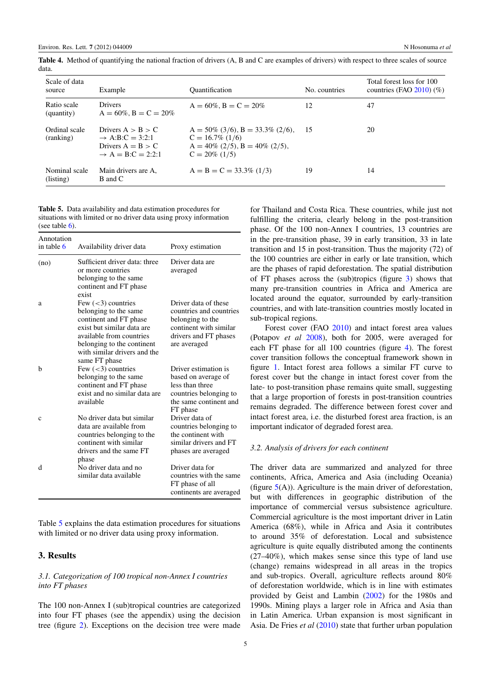| Scale of data<br>source    | Example                                                                                                    | Quantification                                                                                                         | No. countries | Total forest loss for 100<br>countries (FAO $2010$ ) (%) |
|----------------------------|------------------------------------------------------------------------------------------------------------|------------------------------------------------------------------------------------------------------------------------|---------------|----------------------------------------------------------|
| Ratio scale<br>(quantity)  | <b>Drivers</b><br>$A = 60\%$ , $B = C = 20\%$                                                              | $A = 60\%$ , $B = C = 20\%$                                                                                            | 12            | 47                                                       |
| Ordinal scale<br>(ranking) | Drivers $A > B > C$<br>$\rightarrow$ A:B:C = 3:2:1<br>Drivers $A = B > C$<br>$\rightarrow$ A = B:C = 2:2:1 | $A = 50\%$ (3/6), $B = 33.3\%$ (2/6),<br>$C = 16.7\%$ (1/6)<br>$A = 40\%$ (2/5), $B = 40\%$ (2/5),<br>$C = 20\% (1/5)$ | 15            | 20                                                       |
| Nominal scale<br>(listing) | Main drivers are A.<br>B and C                                                                             | $A = B = C = 33.3\%$ (1/3)                                                                                             | 19            | 14                                                       |

<span id="page-5-0"></span>Table 4. Method of quantifying the national fraction of drivers (A, B and C are examples of drivers) with respect to three scales of source data.

<span id="page-5-2"></span>Table 5. Data availability and data estimation procedures for situations with limited or no driver data using proxy information (see table  $6$ ).

| Annotation<br>in table 6 | Availability driver data                                                                                                                                                                                          | Proxy estimation                                                                                                                       |
|--------------------------|-------------------------------------------------------------------------------------------------------------------------------------------------------------------------------------------------------------------|----------------------------------------------------------------------------------------------------------------------------------------|
| (no)                     | Sufficient driver data: three<br>or more countries<br>belonging to the same<br>continent and FT phase<br>exist                                                                                                    | Driver data are<br>averaged                                                                                                            |
| a                        | Few $(<$ 3) countries<br>belonging to the same<br>continent and FT phase<br>exist but similar data are<br>available from countries<br>belonging to the continent<br>with similar drivers and the<br>same FT phase | Driver data of these<br>countries and countries<br>belonging to the<br>continent with similar<br>drivers and FT phases<br>are averaged |
| b                        | Few $(<$ 3) countries<br>belonging to the same<br>continent and FT phase<br>exist and no similar data are<br>available                                                                                            | Driver estimation is<br>based on average of<br>less than three<br>countries belonging to<br>the same continent and<br>FT phase         |
| c                        | No driver data but similar<br>data are available from<br>countries belonging to the<br>continent with similar<br>drivers and the same FT<br>phase                                                                 | Driver data of<br>countries belonging to<br>the continent with<br>similar drivers and FT<br>phases are averaged                        |
| d                        | No driver data and no<br>similar data available                                                                                                                                                                   | Driver data for<br>countries with the same<br>FT phase of all<br>continents are averaged                                               |

Table [5](#page-5-2) explains the data estimation procedures for situations with limited or no driver data using proxy information.

# 3. Results

# *3.1. Categorization of 100 tropical non-Annex I countries into FT phases*

The 100 non-Annex I (sub)tropical countries are categorized into four FT phases (see the appendix) using the decision tree (figure [2\)](#page-3-0). Exceptions on the decision tree were made

for Thailand and Costa Rica. These countries, while just not fulfilling the criteria, clearly belong in the post-transition phase. Of the 100 non-Annex I countries, 13 countries are in the pre-transition phase, 39 in early transition, 33 in late transition and 15 in post-transition. Thus the majority (72) of the 100 countries are either in early or late transition, which are the phases of rapid deforestation. The spatial distribution of FT phases across the (sub)tropics (figure [3\)](#page-6-1) shows that many pre-transition countries in Africa and America are located around the equator, surrounded by early-transition countries, and with late-transition countries mostly located in sub-tropical regions.

Forest cover (FAO [2010\)](#page-11-14) and intact forest area values (Potapov *et al* [2008\)](#page-11-16), both for 2005, were averaged for each FT phase for all 100 countries (figure [4\)](#page-6-2). The forest cover transition follows the conceptual framework shown in figure [1.](#page-2-0) Intact forest area follows a similar FT curve to forest cover but the change in intact forest cover from the late- to post-transition phase remains quite small, suggesting that a large proportion of forests in post-transition countries remains degraded. The difference between forest cover and intact forest area, i.e. the disturbed forest area fraction, is an important indicator of degraded forest area.

### <span id="page-5-1"></span>*3.2. Analysis of drivers for each continent*

The driver data are summarized and analyzed for three continents, Africa, America and Asia (including Oceania) (figure  $5(A)$  $5(A)$ ). Agriculture is the main driver of deforestation, but with differences in geographic distribution of the importance of commercial versus subsistence agriculture. Commercial agriculture is the most important driver in Latin America (68%), while in Africa and Asia it contributes to around 35% of deforestation. Local and subsistence agriculture is quite equally distributed among the continents (27–40%), which makes sense since this type of land use (change) remains widespread in all areas in the tropics and sub-tropics. Overall, agriculture reflects around 80% of deforestation worldwide, which is in line with estimates provided by Geist and Lambin [\(2002\)](#page-11-17) for the 1980s and 1990s. Mining plays a larger role in Africa and Asia than in Latin America. Urban expansion is most significant in Asia. De Fries *et al* [\(2010\)](#page-11-4) state that further urban population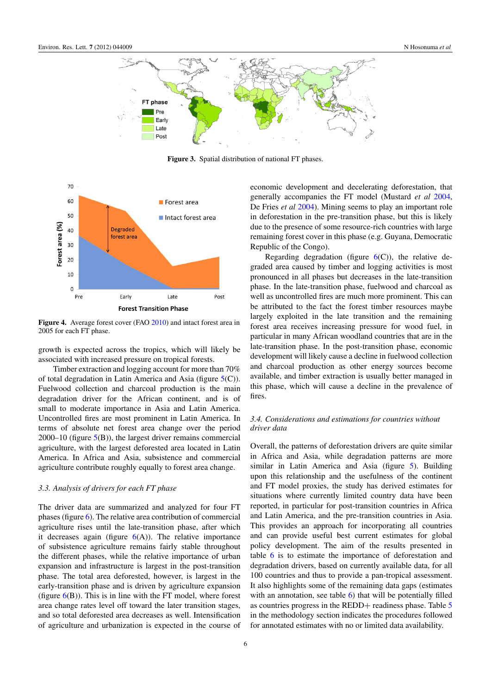<span id="page-6-1"></span>

Figure 3. Spatial distribution of national FT phases.

<span id="page-6-2"></span>

Figure 4. Average forest cover (FAO [2010\)](#page-11-14) and intact forest area in 2005 for each FT phase.

growth is expected across the tropics, which will likely be associated with increased pressure on tropical forests.

Timber extraction and logging account for more than 70% of total degradation in Latin America and Asia (figure  $5(C)$  $5(C)$ ). Fuelwood collection and charcoal production is the main degradation driver for the African continent, and is of small to moderate importance in Asia and Latin America. Uncontrolled fires are most prominent in Latin America. In terms of absolute net forest area change over the period  $2000-10$  (figure  $5(B)$  $5(B)$ ), the largest driver remains commercial agriculture, with the largest deforested area located in Latin America. In Africa and Asia, subsistence and commercial agriculture contribute roughly equally to forest area change.

#### <span id="page-6-0"></span>*3.3. Analysis of drivers for each FT phase*

The driver data are summarized and analyzed for four FT phases (figure [6\)](#page-7-1). The relative area contribution of commercial agriculture rises until the late-transition phase, after which it decreases again (figure  $6(A)$  $6(A)$ ). The relative importance of subsistence agriculture remains fairly stable throughout the different phases, while the relative importance of urban expansion and infrastructure is largest in the post-transition phase. The total area deforested, however, is largest in the early-transition phase and is driven by agriculture expansion (figure  $6(B)$  $6(B)$ ). This is in line with the FT model, where forest area change rates level off toward the later transition stages, and so total deforested area decreases as well. Intensification of agriculture and urbanization is expected in the course of economic development and decelerating deforestation, that generally accompanies the FT model (Mustard *et al* [2004,](#page-11-10) De Fries *et al* [2004\)](#page-11-11). Mining seems to play an important role in deforestation in the pre-transition phase, but this is likely due to the presence of some resource-rich countries with large remaining forest cover in this phase (e.g. Guyana, Democratic Republic of the Congo).

Regarding degradation (figure  $6(C)$  $6(C)$ ), the relative degraded area caused by timber and logging activities is most pronounced in all phases but decreases in the late-transition phase. In the late-transition phase, fuelwood and charcoal as well as uncontrolled fires are much more prominent. This can be attributed to the fact the forest timber resources maybe largely exploited in the late transition and the remaining forest area receives increasing pressure for wood fuel, in particular in many African woodland countries that are in the late-transition phase. In the post-transition phase, economic development will likely cause a decline in fuelwood collection and charcoal production as other energy sources become available, and timber extraction is usually better managed in this phase, which will cause a decline in the prevalence of fires.

# *3.4. Considerations and estimations for countries without driver data*

Overall, the patterns of deforestation drivers are quite similar in Africa and Asia, while degradation patterns are more similar in Latin America and Asia (figure [5\)](#page-7-0). Building upon this relationship and the usefulness of the continent and FT model proxies, the study has derived estimates for situations where currently limited country data have been reported, in particular for post-transition countries in Africa and Latin America, and the pre-transition countries in Asia. This provides an approach for incorporating all countries and can provide useful best current estimates for global policy development. The aim of the results presented in table [6](#page-8-0) is to estimate the importance of deforestation and degradation drivers, based on currently available data, for all 100 countries and thus to provide a pan-tropical assessment. It also highlights some of the remaining data gaps (estimates with an annotation, see table [6\)](#page-8-0) that will be potentially filled as countries progress in the REDD+ readiness phase. Table [5](#page-5-2) in the methodology section indicates the procedures followed for annotated estimates with no or limited data availability.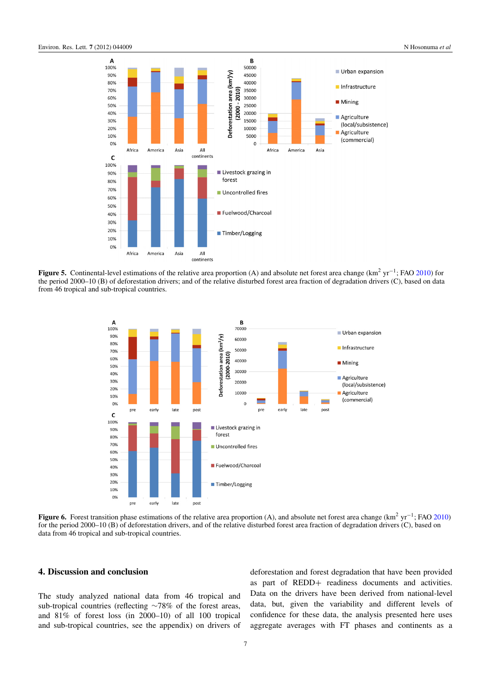<span id="page-7-0"></span>

<span id="page-7-1"></span>**Figure 5.** Continental-level estimations of the relative area proportion (A) and absolute net forest area change ( $\text{km}^2 \text{ yr}^{-1}$ ; FAO [2010\)](#page-11-14) for the period 2000–10 (B) of deforestation drivers; and of the relative disturbed forest area fraction of degradation drivers (C), based on data from 46 tropical and sub-tropical countries.



**Figure 6.** Forest transition phase estimations of the relative area proportion (A), and absolute net forest area change (km<sup>2</sup> yr<sup>-1</sup>; FAO [2010\)](#page-11-14) for the period 2000–10 (B) of deforestation drivers, and of the relative disturbed forest area fraction of degradation drivers (C), based on data from 46 tropical and sub-tropical countries.

# 4. Discussion and conclusion

The study analyzed national data from 46 tropical and sub-tropical countries (reflecting ∼78% of the forest areas, and 81% of forest loss (in 2000–10) of all 100 tropical and sub-tropical countries, see the appendix) on drivers of

deforestation and forest degradation that have been provided as part of REDD+ readiness documents and activities. Data on the drivers have been derived from national-level data, but, given the variability and different levels of confidence for these data, the analysis presented here uses aggregate averages with FT phases and continents as a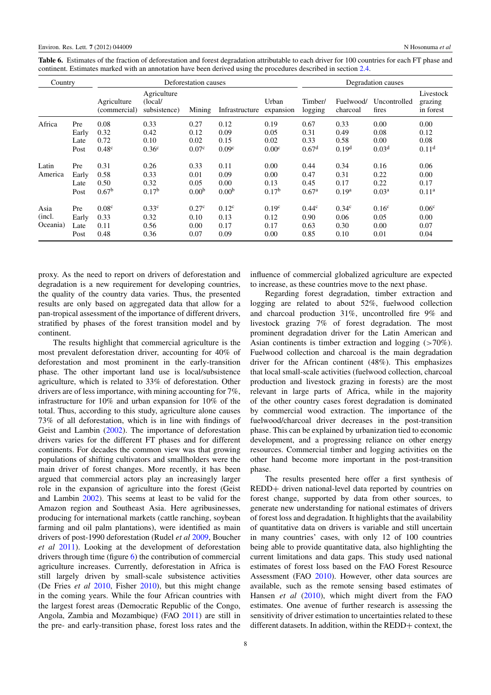<span id="page-8-0"></span>Table 6. Estimates of the fraction of deforestation and forest degradation attributable to each driver for 100 countries for each FT phase and continent. Estimates marked with an annotation have been derived using the procedures described in section [2.4.](#page-4-2)

| Country                    |                              | Deforestation causes                      |                                           |                                           |                                           | Degradation causes                        |                                           |                                           |                                           |                                           |
|----------------------------|------------------------------|-------------------------------------------|-------------------------------------------|-------------------------------------------|-------------------------------------------|-------------------------------------------|-------------------------------------------|-------------------------------------------|-------------------------------------------|-------------------------------------------|
|                            |                              | Agriculture<br>(commercial)               | Agriculture<br>(local/<br>subsistence)    | Mining                                    | Infrastructure                            | Urban<br>expansion                        | Timber/<br>logging                        | Fuelwood/<br>charcoal                     | Uncontrolled<br>fires                     | Livestock<br>grazing<br>in forest         |
| Africa                     | Pre<br>Early<br>Late<br>Post | 0.08<br>0.32<br>0.72<br>0.48 <sup>c</sup> | 0.33<br>0.42<br>0.10<br>0.36 <sup>c</sup> | 0.27<br>0.12<br>0.02<br>0.07 <sup>c</sup> | 0.12<br>0.09<br>0.15<br>0.09 <sup>c</sup> | 0.19<br>0.05<br>0.02<br>0.00 <sup>c</sup> | 0.67<br>0.31<br>0.33<br>0.67 <sup>d</sup> | 0.33<br>0.49<br>0.58<br>0.19 <sup>d</sup> | 0.00<br>0.08<br>0.00<br>0.03 <sup>d</sup> | 0.00<br>0.12<br>0.08<br>0.11 <sup>d</sup> |
| Latin<br>America           | Pre<br>Early<br>Late<br>Post | 0.31<br>0.58<br>0.50<br>0.67 <sup>b</sup> | 0.26<br>0.33<br>0.32<br>0.17 <sup>b</sup> | 0.33<br>0.01<br>0.05<br>0.00 <sup>b</sup> | 0.11<br>0.09<br>0.00<br>0.00 <sup>b</sup> | 0.00<br>0.00<br>0.13<br>0.17 <sup>b</sup> | 0.44<br>0.47<br>0.45<br>0.67 <sup>a</sup> | 0.34<br>0.31<br>0.17<br>0.19 <sup>a</sup> | 0.16<br>0.22<br>0.22<br>0.03 <sup>a</sup> | 0.06<br>0.00<br>0.17<br>0.11 <sup>a</sup> |
| Asia<br>(incl.<br>Oceania) | Pre<br>Early<br>Late<br>Post | 0.08 <sup>c</sup><br>0.33<br>0.11<br>0.48 | 0.33 <sup>c</sup><br>0.32<br>0.56<br>0.36 | 0.27 <sup>c</sup><br>0.10<br>0.00<br>0.07 | 0.12 <sup>c</sup><br>0.13<br>0.17<br>0.09 | 0.19 <sup>c</sup><br>0.12<br>0.17<br>0.00 | 0.44 <sup>c</sup><br>0.90<br>0.63<br>0.85 | 0.34 <sup>c</sup><br>0.06<br>0.30<br>0.10 | 0.16 <sup>c</sup><br>0.05<br>0.00<br>0.01 | 0.06 <sup>c</sup><br>0.00<br>0.07<br>0.04 |

proxy. As the need to report on drivers of deforestation and degradation is a new requirement for developing countries, the quality of the country data varies. Thus, the presented results are only based on aggregated data that allow for a pan-tropical assessment of the importance of different drivers, stratified by phases of the forest transition model and by continent.

The results highlight that commercial agriculture is the most prevalent deforestation driver, accounting for 40% of deforestation and most prominent in the early-transition phase. The other important land use is local/subsistence agriculture, which is related to 33% of deforestation. Other drivers are of less importance, with mining accounting for 7%, infrastructure for 10% and urban expansion for 10% of the total. Thus, according to this study, agriculture alone causes 73% of all deforestation, which is in line with findings of Geist and Lambin [\(2002\)](#page-11-17). The importance of deforestation drivers varies for the different FT phases and for different continents. For decades the common view was that growing populations of shifting cultivators and smallholders were the main driver of forest changes. More recently, it has been argued that commercial actors play an increasingly larger role in the expansion of agriculture into the forest (Geist and Lambin [2002\)](#page-11-17). This seems at least to be valid for the Amazon region and Southeast Asia. Here agribusinesses, producing for international markets (cattle ranching, soybean farming and oil palm plantations), were identified as main drivers of post-1990 deforestation (Rudel *et al* [2009,](#page-12-4) Boucher *et al* [2011\)](#page-11-5). Looking at the development of deforestation drivers through time (figure [6\)](#page-7-1) the contribution of commercial agriculture increases. Currently, deforestation in Africa is still largely driven by small-scale subsistence activities (De Fries *et al* [2010,](#page-11-4) Fisher [2010\)](#page-11-18), but this might change in the coming years. While the four African countries with the largest forest areas (Democratic Republic of the Congo, Angola, Zambia and Mozambique) (FAO [2011\)](#page-11-19) are still in the pre- and early-transition phase, forest loss rates and the

influence of commercial globalized agriculture are expected to increase, as these countries move to the next phase.

Regarding forest degradation, timber extraction and logging are related to about 52%, fuelwood collection and charcoal production 31%, uncontrolled fire 9% and livestock grazing 7% of forest degradation. The most prominent degradation driver for the Latin American and Asian continents is timber extraction and logging  $($ >70%). Fuelwood collection and charcoal is the main degradation driver for the African continent (48%). This emphasizes that local small-scale activities (fuelwood collection, charcoal production and livestock grazing in forests) are the most relevant in large parts of Africa, while in the majority of the other country cases forest degradation is dominated by commercial wood extraction. The importance of the fuelwood/charcoal driver decreases in the post-transition phase. This can be explained by urbanization tied to economic development, and a progressing reliance on other energy resources. Commercial timber and logging activities on the other hand become more important in the post-transition phase.

The results presented here offer a first synthesis of REDD+ driven national-level data reported by countries on forest change, supported by data from other sources, to generate new understanding for national estimates of drivers of forest loss and degradation. It highlights that the availability of quantitative data on drivers is variable and still uncertain in many countries' cases, with only 12 of 100 countries being able to provide quantitative data, also highlighting the current limitations and data gaps. This study used national estimates of forest loss based on the FAO Forest Resource Assessment (FAO [2010\)](#page-11-14). However, other data sources are available, such as the remote sensing based estimates of Hansen *et al* [\(2010\)](#page-11-20), which might divert from the FAO estimates. One avenue of further research is assessing the sensitivity of driver estimation to uncertainties related to these different datasets. In addition, within the REDD+ context, the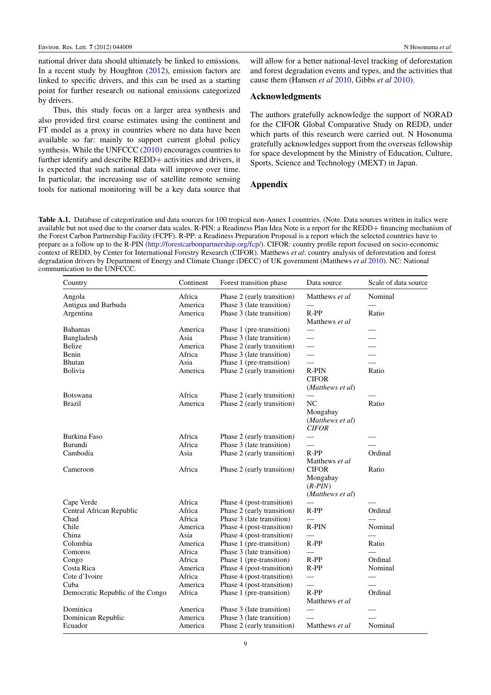national driver data should ultimately be linked to emissions. In a recent study by Houghton [\(2012\)](#page-11-21), emission factors are linked to specific drivers, and this can be used as a starting point for further research on national emissions categorized by drivers.

Thus, this study focus on a larger area synthesis and also provided first coarse estimates using the continent and FT model as a proxy in countries where no data have been available so far: mainly to support current global policy synthesis. While the UNFCCC [\(2010\)](#page-12-0) encourages countries to further identify and describe REDD+ activities and drivers, it is expected that such national data will improve over time. In particular, the increasing use of satellite remote sensing tools for national monitoring will be a key data source that

will allow for a better national-level tracking of deforestation and forest degradation events and types, and the activities that cause them (Hansen *et al* [2010,](#page-11-20) Gibbs *et al* [2010\)](#page-11-6).

#### Acknowledgments

The authors gratefully acknowledge the support of NORAD for the CIFOR Global Comparative Study on REDD, under which parts of this research were carried out. N Hosonuma gratefully acknowledges support from the overseas fellowship for space development by the Ministry of Education, Culture, Sports, Science and Technology (MEXT) in Japan.

#### Appendix

Table A.1. Database of categorization and data sources for 100 tropical non-Annex I countries. (Note. Data sources written in italics were available but not used due to the coarser data scales. R-PIN: a Readiness Plan Idea Note is a report for the REDD+ financing mechanism of the Forest Carbon Partnership Facility (FCPF). R-PP: a Readiness Preparation Proposal is a report which the selected countries have to prepare as a follow up to the R-PIN [\(http://forestcarbonpartnership.org/fcp/\)](http://forestcarbonpartnership.org/fcp/). CIFOR: country profile report focused on socio-economic context of REDD, by Center for International Forestry Research (CIFOR). Matthews *et al*: country analysis of deforestation and forest degradation drivers by Department of Energy and Climate Change (DECC) of UK government (Matthews *et al* [2010\)](#page-11-15). NC: National communication to the UNFCCC.

| Country                          | Continent         | Forest transition phase                                 | Data source              | Scale of data source |
|----------------------------------|-------------------|---------------------------------------------------------|--------------------------|----------------------|
| Angola<br>Antigua and Barbuda    | Africa<br>America | Phase 2 (early transition)<br>Phase 3 (late transition) | Matthews et al           | Nominal              |
| Argentina                        | America           | Phase 3 (late transition)                               | $R-PP$                   | Ratio                |
|                                  |                   |                                                         | Matthews et al           |                      |
| <b>Bahamas</b>                   | America           | Phase 1 (pre-transition)                                | $\equiv$                 |                      |
| Bangladesh                       | Asia              | Phase 3 (late transition)                               |                          |                      |
| Belize                           | America           | Phase 2 (early transition)                              | $\overline{\phantom{0}}$ |                      |
| Benin                            | Africa            | Phase 3 (late transition)                               | $\frac{1}{1}$            |                      |
| <b>Bhutan</b>                    | Asia              | Phase 1 (pre-transition)                                |                          |                      |
| Bolivia                          | America           | Phase 2 (early transition)                              | R-PIN                    | Ratio                |
|                                  |                   |                                                         | <b>CIFOR</b>             |                      |
|                                  |                   |                                                         | (Matthews et al)         |                      |
| <b>Botswana</b>                  | Africa            | Phase 2 (early transition)                              |                          |                      |
| <b>Brazil</b>                    | America           | Phase 2 (early transition)                              | NC                       | Ratio                |
|                                  |                   |                                                         | Mongabay                 |                      |
|                                  |                   |                                                         | (Matthews et al)         |                      |
|                                  |                   |                                                         | <b>CIFOR</b>             |                      |
| Burkina Faso                     | Africa            | Phase 2 (early transition)                              | $\equiv$                 |                      |
| Burundi                          | Africa            | Phase 3 (late transition)                               |                          |                      |
| Cambodia                         | Asia              | Phase 2 (early transition)                              | $R-PP$                   | Ordinal              |
|                                  |                   |                                                         | Matthews et al           |                      |
| Cameroon                         | Africa            | Phase 2 (early transition)                              | <b>CIFOR</b>             | Ratio                |
|                                  |                   |                                                         | Mongabay                 |                      |
|                                  |                   |                                                         | $(R-PIN)$                |                      |
|                                  |                   |                                                         | (Matthews et al)         |                      |
| Cape Verde                       | Africa            | Phase 4 (post-transition)                               |                          |                      |
| Central African Republic         | Africa            | Phase 2 (early transition)                              | $R-PP$                   | Ordinal              |
| Chad                             | Africa            | Phase 3 (late transition)                               | $\overline{\phantom{0}}$ |                      |
| Chile                            | America           | Phase 4 (post-transition)                               | <b>R-PIN</b>             | Nominal              |
| China                            | Asia              | Phase 4 (post-transition)                               | $\overline{\phantom{0}}$ |                      |
| Colombia                         | America           | Phase 1 (pre-transition)                                | $R-PP$                   | Ratio                |
| Comoros                          | Africa            | Phase 3 (late transition)                               | $\overline{\phantom{0}}$ |                      |
| Congo<br>Costa Rica              | Africa            | Phase 1 (pre-transition)                                | $R-PP$<br>$R-PP$         | Ordinal<br>Nominal   |
| Cote d'Ivoire                    | America<br>Africa | Phase 4 (post-transition)                               |                          |                      |
| Cuba                             | America           | Phase 4 (post-transition)<br>Phase 4 (post-transition)  | $\equiv$                 |                      |
|                                  | Africa            |                                                         | $R-PP$                   | Ordinal              |
| Democratic Republic of the Congo |                   | Phase 1 (pre-transition)                                | Matthews et al           |                      |
| Dominica                         | America           | Phase 3 (late transition)                               | $\overline{\phantom{0}}$ |                      |
| Dominican Republic               | America           | Phase 3 (late transition)                               |                          |                      |
| Ecuador                          | America           | Phase 2 (early transition)                              | Matthews et al           | Nominal              |
|                                  |                   |                                                         |                          |                      |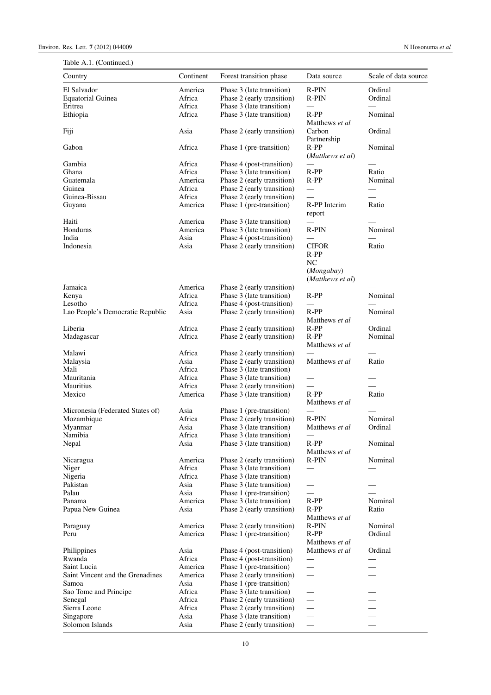| Country                          | Continent | Forest transition phase    | Data source              | Scale of data source |
|----------------------------------|-----------|----------------------------|--------------------------|----------------------|
| El Salvador                      | America   | Phase 3 (late transition)  | R-PIN                    | Ordinal              |
| <b>Equatorial Guinea</b>         | Africa    | Phase 2 (early transition) | R-PIN                    | Ordinal              |
| Eritrea                          | Africa    | Phase 3 (late transition)  |                          |                      |
| Ethiopia                         | Africa    | Phase 3 (late transition)  | R-PP                     | Nominal              |
|                                  |           |                            | Matthews et al           |                      |
| Fiji                             | Asia      | Phase 2 (early transition) | Carbon                   | Ordinal              |
|                                  |           |                            | Partnership              |                      |
| Gabon                            | Africa    | Phase 1 (pre-transition)   | $R-PP$                   | Nominal              |
|                                  |           |                            | (Matthews et al)         |                      |
| Gambia                           | Africa    | Phase 4 (post-transition)  |                          |                      |
| Ghana                            | Africa    | Phase 3 (late transition)  | R-PP                     | Ratio                |
| Guatemala                        | America   | Phase 2 (early transition) | R-PP                     | Nominal              |
| Guinea                           | Africa    | Phase 2 (early transition) | $\overline{\phantom{0}}$ |                      |
| Guinea-Bissau                    | Africa    | Phase 2 (early transition) | $\overline{\phantom{0}}$ |                      |
| Guyana                           | America   | Phase 1 (pre-transition)   | R-PP Interim             | Ratio                |
|                                  |           |                            | report                   |                      |
| Haiti                            | America   | Phase 3 (late transition)  |                          |                      |
| Honduras                         | America   | Phase 3 (late transition)  | R-PIN                    | Nominal              |
| India                            | Asia      | Phase 4 (post-transition)  | $\overline{\phantom{0}}$ |                      |
| Indonesia                        | Asia      | Phase 2 (early transition) | <b>CIFOR</b>             | Ratio                |
|                                  |           |                            | R-PP                     |                      |
|                                  |           |                            | NC                       |                      |
|                                  |           |                            | (Mongabay)               |                      |
|                                  |           |                            | (Matthews et al)         |                      |
| Jamaica                          | America   | Phase 2 (early transition) |                          |                      |
| Kenya                            | Africa    | Phase 3 (late transition)  | R-PP                     | Nominal              |
| Lesotho                          | Africa    | Phase 4 (post-transition)  | $\overline{\phantom{0}}$ |                      |
| Lao People's Democratic Republic | Asia      | Phase 2 (early transition) | $R-PP$                   | Nominal              |
|                                  |           |                            | Matthews et al           |                      |
| Liberia                          | Africa    | Phase 2 (early transition) | R-PP                     | Ordinal              |
| Madagascar                       | Africa    | Phase 2 (early transition) | $R-PP$                   | Nominal              |
|                                  |           |                            | Matthews et al           |                      |
| Malawi                           | Africa    | Phase 2 (early transition) |                          |                      |
| Malaysia                         | Asia      | Phase 2 (early transition) | Matthews et al           | Ratio                |
| Mali                             | Africa    | Phase 3 (late transition)  |                          |                      |
| Mauritania                       | Africa    | Phase 3 (late transition)  | $\overline{\phantom{0}}$ |                      |
| Mauritius                        | Africa    | Phase 2 (early transition) |                          |                      |
| Mexico                           | America   | Phase 3 (late transition)  | $R-PP$                   | Ratio                |
|                                  |           |                            | Matthews et al           |                      |
| Micronesia (Federated States of) | Asia      | Phase 1 (pre-transition)   |                          |                      |
| Mozambique                       | Africa    | Phase 2 (early transition) | R-PIN                    | Nominal              |
| Myanmar                          | Asia      | Phase 3 (late transition)  | Matthews <i>et al</i>    | Ordinal              |
| Namibia                          | Africa    | Phase 3 (late transition)  |                          |                      |
| Nepal                            | Asia      | Phase 3 (late transition)  | R-PP                     | Nominal              |
|                                  |           |                            | Matthews et al           |                      |
| Nicaragua                        | America   | Phase 2 (early transition) | R-PIN                    | Nominal              |
| Niger                            | Africa    | Phase 3 (late transition)  |                          |                      |
| Nigeria                          | Africa    | Phase 3 (late transition)  | $\overline{\phantom{0}}$ |                      |
| Pakistan                         | Asia      | Phase 3 (late transition)  |                          |                      |
| Palau                            | Asia      | Phase 1 (pre-transition)   | $\overline{\phantom{0}}$ |                      |
| Panama                           | America   | Phase 3 (late transition)  | R-PP                     | Nominal              |
| Papua New Guinea                 | Asia      | Phase 2 (early transition) | R-PP                     | Ratio                |
|                                  |           |                            | Matthews et al           |                      |
| Paraguay                         | America   | Phase 2 (early transition) | R-PIN                    | Nominal              |
| Peru                             | America   | Phase 1 (pre-transition)   | R-PP                     | Ordinal              |
|                                  |           |                            | Matthews et al           |                      |
| Philippines                      | Asia      | Phase 4 (post-transition)  | Matthews et al           | Ordinal              |
| Rwanda                           | Africa    | Phase 4 (post-transition)  |                          |                      |
| Saint Lucia                      | America   | Phase 1 (pre-transition)   | $\overline{\phantom{0}}$ |                      |
| Saint Vincent and the Grenadines | America   | Phase 2 (early transition) |                          |                      |
| Samoa                            | Asia      | Phase 1 (pre-transition)   | $\overline{\phantom{0}}$ |                      |
| Sao Tome and Principe            | Africa    | Phase 3 (late transition)  | $\overline{\phantom{0}}$ |                      |
| Senegal                          | Africa    | Phase 2 (early transition) |                          |                      |
| Sierra Leone                     | Africa    | Phase 2 (early transition) | $\equiv$                 |                      |
| Singapore                        | Asia      | Phase 3 (late transition)  | $\equiv$                 |                      |
| Solomon Islands                  | Asia      | Phase 2 (early transition) |                          |                      |
|                                  |           |                            |                          |                      |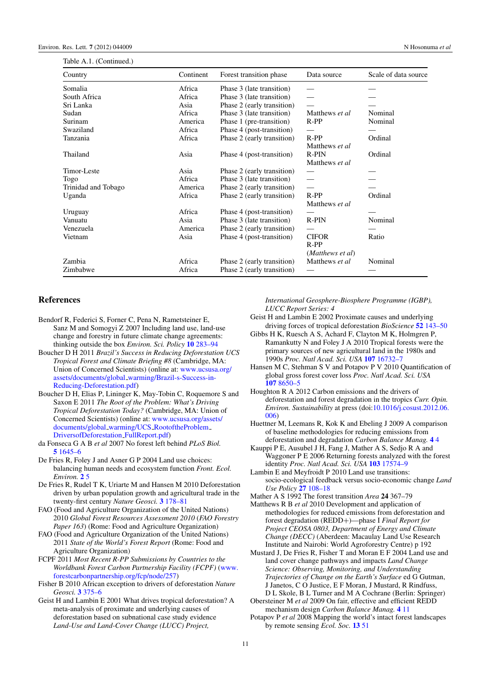#### Table A.1. (Continued.)

| Country             | Continent | Forest transition phase    | Data source      | Scale of data source |
|---------------------|-----------|----------------------------|------------------|----------------------|
| Somalia             | Africa    | Phase 3 (late transition)  |                  |                      |
| South Africa        | Africa    | Phase 3 (late transition)  |                  |                      |
| Sri Lanka           | Asia      | Phase 2 (early transition) |                  |                      |
| Sudan               | Africa    | Phase 3 (late transition)  | Matthews et al.  | Nominal              |
| Surinam             | America   | Phase 1 (pre-transition)   | R-PP             | Nominal              |
| Swaziland           | Africa    | Phase 4 (post-transition)  |                  |                      |
| Tanzania            | Africa    | Phase 2 (early transition) | $R-PP$           | Ordinal              |
|                     |           |                            | Matthews et al   |                      |
| Thailand            | Asia      | Phase 4 (post-transition)  | R-PIN            | Ordinal              |
|                     |           |                            | Matthews et al.  |                      |
| Timor-Leste         | Asia      | Phase 2 (early transition) |                  |                      |
| Togo                | Africa    | Phase 3 (late transition)  |                  |                      |
| Trinidad and Tobago | America   | Phase 2 (early transition) |                  |                      |
| Uganda              | Africa    | Phase 2 (early transition) | $R-PP$           | Ordinal              |
|                     |           |                            | Matthews et al.  |                      |
| Uruguay             | Africa    | Phase 4 (post-transition)  |                  |                      |
| Vanuatu             | Asia      | Phase 3 (late transition)  | R-PIN            | Nominal              |
| Venezuela           | America   | Phase 2 (early transition) |                  |                      |
| Vietnam             | Asia      | Phase 4 (post-transition)  | <b>CIFOR</b>     | Ratio                |
|                     |           |                            | $R-PP$           |                      |
|                     |           |                            | (Matthews et al) |                      |
| Zambia              | Africa    | Phase 2 (early transition) | Matthews et al   | Nominal              |
| Zimbabwe            | Africa    | Phase 2 (early transition) |                  |                      |

### References

- <span id="page-11-0"></span>Bendorf R, Federici S, Forner C, Pena N, Rametsteiner E, Sanz M and Somogyi Z 2007 Including land use, land-use change and forestry in future climate change agreements: thinking outside the box *Environ. Sci. Policy* [10](http://dx.doi.org/10.1016/j.envsci.2006.10.011) [283–94](http://dx.doi.org/10.1016/j.envsci.2006.10.011)
- <span id="page-11-1"></span>Boucher D H 2011 *Brazil's Success in Reducing Deforestation UCS Tropical Forest and Climate Briefing #8* (Cambridge, MA: Union of Concerned Scientists) (online at: [www.ucsusa.org/](http://www.ucsusa.org/assets/documents/global_warming/Brazil-s-Success-in-Reducing-Deforestation.pdf) [assets/documents/global](http://www.ucsusa.org/assets/documents/global_warming/Brazil-s-Success-in-Reducing-Deforestation.pdf) [warming/Brazil-s-Success-in-](http://www.ucsusa.org/assets/documents/global_warming/Brazil-s-Success-in-Reducing-Deforestation.pdf)[Reducing-Deforestation.pdf\)](http://www.ucsusa.org/assets/documents/global_warming/Brazil-s-Success-in-Reducing-Deforestation.pdf)
- <span id="page-11-5"></span>Boucher D H, Elias P, Lininger K, May-Tobin C, Roquemore S and Saxon E 2011 *The Root of the Problem: What's Driving Tropical Deforestation Today?* (Cambridge, MA: Union of Concerned Scientists) (online at: [www.ucsusa.org/assets/](http://www.ucsusa.org/assets/documents/global_warming/UCS_RootoftheProblem_DriversofDeforestation_FullReport.pdf) [documents/global](http://www.ucsusa.org/assets/documents/global_warming/UCS_RootoftheProblem_DriversofDeforestation_FullReport.pdf) [warming/UCS](http://www.ucsusa.org/assets/documents/global_warming/UCS_RootoftheProblem_DriversofDeforestation_FullReport.pdf) [RootoftheProblem](http://www.ucsusa.org/assets/documents/global_warming/UCS_RootoftheProblem_DriversofDeforestation_FullReport.pdf) [DriversofDeforestation](http://www.ucsusa.org/assets/documents/global_warming/UCS_RootoftheProblem_DriversofDeforestation_FullReport.pdf) [FullReport.pdf\)](http://www.ucsusa.org/assets/documents/global_warming/UCS_RootoftheProblem_DriversofDeforestation_FullReport.pdf)
- <span id="page-11-13"></span>da Fonseca G A B *et al* 2007 No forest left behind *PLoS Biol.* [5](http://dx.doi.org/10.1371/journal.pbio.0050216) [1645–6](http://dx.doi.org/10.1371/journal.pbio.0050216)
- <span id="page-11-11"></span>De Fries R, Foley J and Asner G P 2004 Land use choices: balancing human needs and ecosystem function *Front. Ecol. Environ.* [2](http://dx.doi.org/10.1890/1540-9295(2004)002[0249:LCBHNA]2.0.CO;2) [5](http://dx.doi.org/10.1890/1540-9295(2004)002[0249:LCBHNA]2.0.CO;2)
- <span id="page-11-4"></span>De Fries R, Rudel T K, Uriarte M and Hansen M 2010 Deforestation driven by urban population growth and agricultural trade in the twenty-first century *Nature Geosci.* [3](http://dx.doi.org/10.1038/ngeo756) [178–81](http://dx.doi.org/10.1038/ngeo756)
- <span id="page-11-14"></span>FAO (Food and Agriculture Organization of the United Nations) 2010 *Global Forest Resources Assessment 2010* (*FAO Forestry Paper 163*) (Rome: Food and Agriculture Organization)
- <span id="page-11-19"></span>FAO (Food and Agriculture Organization of the United Nations) 2011 *State of the World's Forest Report* (Rome: Food and Agriculture Organization)
- <span id="page-11-12"></span>FCPF 2011 *Most Recent R-PP Submissions by Countries to the Worldbank Forest Carbon Partnership Facility (FCPF)* [\(www.](http://www.forestcarbonpartnership.org/fcp/node/257) [forestcarbonpartnership.org/fcp/node/257\)](http://www.forestcarbonpartnership.org/fcp/node/257)
- <span id="page-11-18"></span>Fisher B 2010 African exception to drivers of deforestation *Nature Geosci.* [3](http://dx.doi.org/10.1038/ngeo873) [375–6](http://dx.doi.org/10.1038/ngeo873)
- <span id="page-11-3"></span>Geist H and Lambin E 2001 What drives tropical deforestation? A meta-analysis of proximate and underlying causes of deforestation based on subnational case study evidence *Land-Use and Land-Cover Change (LUCC) Project,*

*International Geosphere-Biosphere Programme (IGBP), LUCC Report Series: 4*

- <span id="page-11-17"></span>Geist H and Lambin E 2002 Proximate causes and underlying driving forces of tropical deforestation *BioScience* [52](http://dx.doi.org/10.1641/0006-3568(2002)052[0143:PCAUDF]2.0.CO;2) [143–50](http://dx.doi.org/10.1641/0006-3568(2002)052[0143:PCAUDF]2.0.CO;2)
- <span id="page-11-6"></span>Gibbs H K, Ruesch A S, Achard F, Clayton M K, Holmgren P, Ramankutty N and Foley J A 2010 Tropical forests were the primary sources of new agricultural land in the 1980s and 1990s *Proc. Natl Acad. Sci. USA* [107](http://dx.doi.org/10.1073/pnas.0910275107) [16732–7](http://dx.doi.org/10.1073/pnas.0910275107)
- <span id="page-11-20"></span>Hansen M C, Stehman S V and Potapov P V 2010 Quantification of global gross forest cover loss *Proc. Natl Acad. Sci. USA* [107](http://dx.doi.org/10.1073/pnas.0912668107) [8650–5](http://dx.doi.org/10.1073/pnas.0912668107)
- <span id="page-11-21"></span>Houghton R A 2012 Carbon emissions and the drivers of deforestation and forest degradation in the tropics *Curr. Opin. Environ. Sustainability* at press (doi[:10.1016/j.cosust.2012.06.](http://dx.doi.org/10.1016/j.cosust.2012.06.006) [006\)](http://dx.doi.org/10.1016/j.cosust.2012.06.006)
- <span id="page-11-2"></span>Huettner M, Leemans R, Kok K and Ebeling J 2009 A comparison of baseline methodologies for reducing emissions from deforestation and degradation *Carbon Balance Manag.* [4](http://dx.doi.org/10.1186/1750-0680-4-4) [4](http://dx.doi.org/10.1186/1750-0680-4-4)
- <span id="page-11-9"></span>Kauppi P E, Ausubel J H, Fang J, Mather A S, Sedjo R A and Waggoner P E 2006 Returning forests analyzed with the forest identity *Proc. Natl Acad. Sci. USA* [103](http://dx.doi.org/10.1073/pnas.0608343103) [17574–9](http://dx.doi.org/10.1073/pnas.0608343103)
- <span id="page-11-7"></span>Lambin E and Meyfroidt P 2010 Land use transitions: socio-ecological feedback versus socio-economic change *Land Use Policy* [27](http://dx.doi.org/10.1016/j.landusepol.2009.09.003) [108–18](http://dx.doi.org/10.1016/j.landusepol.2009.09.003)
- <span id="page-11-8"></span>Mather A S 1992 The forest transition *Area* 24 367–79
- <span id="page-11-15"></span>Matthews R B *et al* 2010 Development and application of methodologies for reduced emissions from deforestation and forest degradation (REDD+)—phase I *Final Report for Project CEOSA 0803, Department of Energy and Climate Change (DECC)* (Aberdeen: Macaulay Land Use Research Institute and Nairobi: World Agroforestry Centre) p 192
- <span id="page-11-10"></span>Mustard J, De Fries R, Fisher T and Moran E F 2004 Land use and land cover change pathways and impacts *Land Change Science: Observing, Monitoring, and Understanding Trajectories of Change on the Earth's Surface* ed G Gutman, J Janetos, C O Justice, E F Moran, J Mustard, R Rindfuss, D L Skole, B L Turner and M A Cochrane (Berlin: Springer)
- Obersteiner M *et al* 2009 On fair, effective and efficient REDD mechanism design *Carbon Balance Manag.* [4](http://dx.doi.org/10.1186/1750-0680-4-11) [11](http://dx.doi.org/10.1186/1750-0680-4-11)
- <span id="page-11-16"></span>Potapov P *et al* 2008 Mapping the world's intact forest landscapes by remote sensing *Ecol. Soc.* [13](http://www.ecologyandsociety.org/vol13/iss2/art51/) [51](http://www.ecologyandsociety.org/vol13/iss2/art51/)